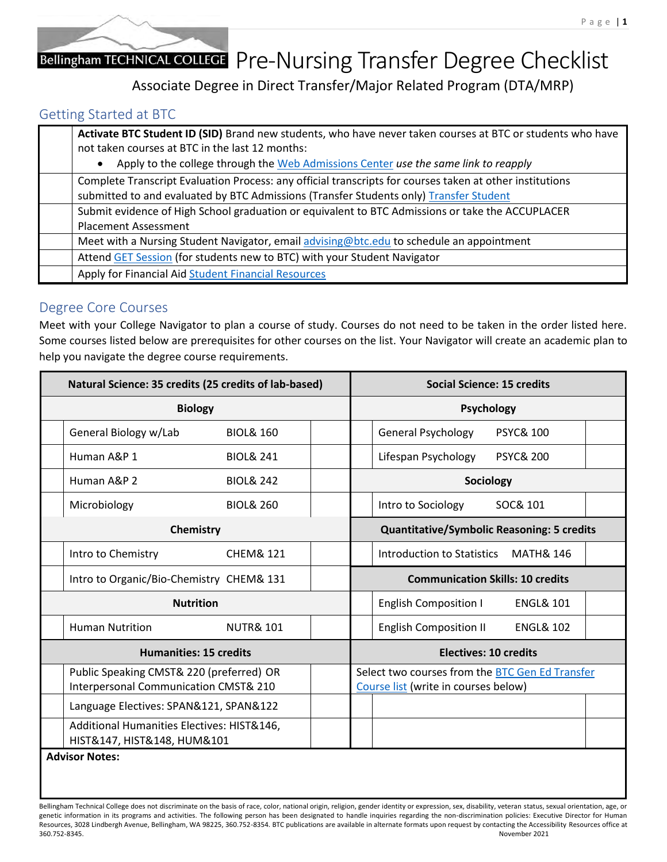# Bellingham TECHNICAL COLLEGE Pre-Nursing Transfer Degree Checklist

Associate Degree in Direct Transfer/Major Related Program (DTA/MRP)

### Getting Started at BTC

| Activate BTC Student ID (SID) Brand new students, who have never taken courses at BTC or students who have<br>not taken courses at BTC in the last 12 months:<br>Apply to the college through the Web Admissions Center use the same link to reapply |
|------------------------------------------------------------------------------------------------------------------------------------------------------------------------------------------------------------------------------------------------------|
| Complete Transcript Evaluation Process: any official transcripts for courses taken at other institutions<br>submitted to and evaluated by BTC Admissions (Transfer Students only) Transfer Student                                                   |
| Submit evidence of High School graduation or equivalent to BTC Admissions or take the ACCUPLACER<br><b>Placement Assessment</b>                                                                                                                      |
| Meet with a Nursing Student Navigator, email advising@btc.edu to schedule an appointment                                                                                                                                                             |
| Attend GET Session (for students new to BTC) with your Student Navigator                                                                                                                                                                             |
| Apply for Financial Aid Student Financial Resources                                                                                                                                                                                                  |

#### Degree Core Courses

Meet with your College Navigator to plan a course of study. Courses do not need to be taken in the order listed here. Some courses listed below are prerequisites for other courses on the list. Your Navigator will create an academic plan to help you navigate the degree course requirements.

| Natural Science: 35 credits (25 credits of lab-based)                             |                      | <b>Social Science: 15 credits</b> |                                                                                                |  |  |
|-----------------------------------------------------------------------------------|----------------------|-----------------------------------|------------------------------------------------------------------------------------------------|--|--|
| <b>Biology</b>                                                                    |                      |                                   | <b>Psychology</b>                                                                              |  |  |
| General Biology w/Lab                                                             | <b>BIOL&amp; 160</b> |                                   | <b>General Psychology</b><br><b>PSYC&amp; 100</b>                                              |  |  |
| Human A&P 1                                                                       | <b>BIOL&amp; 241</b> |                                   | Lifespan Psychology<br><b>PSYC&amp; 200</b>                                                    |  |  |
| Human A&P 2                                                                       | <b>BIOL&amp; 242</b> |                                   | Sociology                                                                                      |  |  |
| Microbiology                                                                      | <b>BIOL&amp; 260</b> |                                   | SOC& 101<br>Intro to Sociology                                                                 |  |  |
| Chemistry                                                                         |                      |                                   | <b>Quantitative/Symbolic Reasoning: 5 credits</b>                                              |  |  |
| Intro to Chemistry                                                                | <b>CHEM&amp; 121</b> |                                   | <b>MATH&amp; 146</b><br>Introduction to Statistics                                             |  |  |
| Intro to Organic/Bio-Chemistry CHEM& 131                                          |                      |                                   | <b>Communication Skills: 10 credits</b>                                                        |  |  |
| <b>Nutrition</b>                                                                  |                      |                                   | <b>ENGL&amp; 101</b><br><b>English Composition I</b>                                           |  |  |
| <b>Human Nutrition</b>                                                            | <b>NUTR&amp; 101</b> |                                   | <b>English Composition II</b><br><b>ENGL&amp; 102</b>                                          |  |  |
| <b>Humanities: 15 credits</b>                                                     |                      |                                   | <b>Electives: 10 credits</b>                                                                   |  |  |
| Public Speaking CMST& 220 (preferred) OR<br>Interpersonal Communication CMST& 210 |                      |                                   | Select two courses from the <b>BTC Gen Ed Transfer</b><br>Course list (write in courses below) |  |  |
| Language Electives: SPAN&121, SPAN&122                                            |                      |                                   |                                                                                                |  |  |
| Additional Humanities Electives: HIST&146,<br>HIST&147, HIST&148, HUM&101         |                      |                                   |                                                                                                |  |  |
| <b>Advisor Notes:</b>                                                             |                      |                                   |                                                                                                |  |  |

Bellingham Technical College does not discriminate on the basis of race, color, national origin, religion, gender identity or expression, sex, disability, veteran status, sexual orientation, age, or genetic information in its programs and activities. The following person has been designated to handle inquiries regarding the non-discrimination policies: Executive Director for Human Resources, 3028 Lindbergh Avenue, Bellingham, WA 98225, 360.752-8354. BTC publications are available in alternate formats upon request by contacting the Accessibility Resources office at 360.752-8345. November 2021